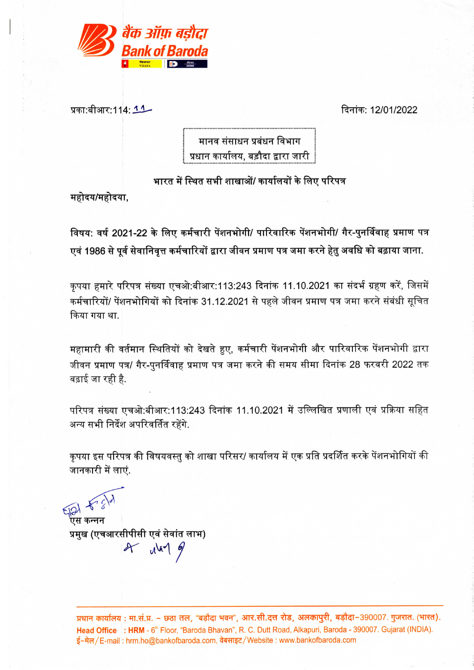

प्रका:बीआर:114: <u>1.1</u>

दिनांक: 12/01/2022

मानव संसाधन प्रबंधन विभाग प्रधान कार्यालय. बड़ौदा द्वारा जारी

भारत में स्थित सभी शाखाओं/ कार्यालयों के लिए परिपत्र

महोदय/महोदया,

विषय: वर्ष 2021-22 के लिए कर्मचारी पेंशनभोगी/ पारिवारिक पेंशनभोगी/ गैर-पुनर्विवाह प्रमाण पत्र एवं 1986 से पूर्व सेवानिवृत्त कर्मचारियों द्वारा जीवन प्रमाण पत्र जमा करने हेतु अवधि को बढ़ाया जाना.

कृपया हमारे परिपत्र संख्या एचओ:बीआर:113:243 दिनांक 11.10.2021 का संदर्भ ग्रहण करें, जिसमें कर्मचारियों/ पेंशनभोगियों को दिनांक 31.12.2021 से पहले जीवन प्रमाण पत्र जमा करने संबंधी सूचित किया गया था.

महामारी की वर्तमान स्थितियों को देखते हुए, कर्मचारी पेंशनभोगी और पारिवारिक पेंशनभोगी द्वारा जीवन प्रमाण पत्र/ गैर-पुनर्विवाह प्रमाण पत्र जमा करने की समय सीमा दिनांक 28 फरवरी 2022 तक बढ़ाई जा रही है.

परिपत्र संख्या एचओ:बीआर:113:243 दिनांक 11.10.2021 में उल्लिखित प्रणाली एवं प्रक्रिया सहित अन्य सभी निर्देश अपरिवर्तित रहेंगे.

कृपया इस परिपत्र की विषयवस्तु को शाखा परिसर/ कार्यालय में एक प्रति प्रदर्शित करके पेंशनभोगियों की जानकारी में लाएं.

 $EIA$ 

.<br>एस कन्नन प्रमुख (एचआरसीपीसी एवं सेवांत लाभ)  $2f$   $d^{(n)}$  of

प्रधान कार्यालय: मा.सं.प्र. – छठा तल, "बड़ौदा भवन", आर.सी.दत्त रोड, अलकापुरी, बड़ौदा-390007. गुजरात. (भारत). Head Office : HRM - 6<sup>th</sup> Floor, "Baroda Bhavan", R. C. Dutt Road, Alkapuri, Baroda - 390007. Gujarat (INDIA). ई-मेल/E-mail: hrm.ho@bankofbaroda.com, वेबसाइट/Website: www.bankofbaroda.com